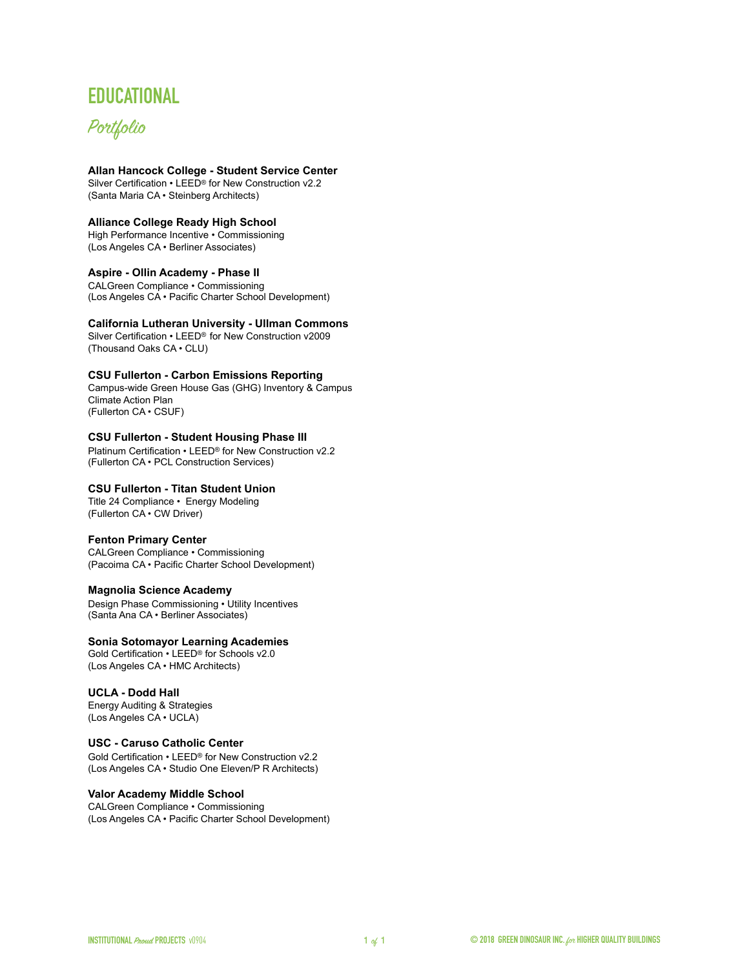# **EDUCATIONAL**

# Portfolio

# **[Allan Hancock College - Student Service Center](http://www.gbig.org/activities/leed-10341328)**

Silver Certification • LEED® for New Construction v2.2 (Santa Maria CA · Steinberg Architects)

### **Alliance College Ready High School**

High Performance Incentive • Commissioning (Los Angeles CA • Berliner Associates)

#### **Aspire - Ollin Academy - Phase II**

CALGreen Compliance • Commissioning (Los Angeles CA • Pacific Charter School Development)

**[California Lutheran University - Ullman Commons](http://www.gbig.org/buildings/116954)**

Silver Certification • LEED® for New Construction v2009 (Thousand Oaks CA · CLU)

# **CSU Fullerton - Carbon Emissions Reporting**

Campus-wide Green House Gas (GHG) Inventory & Campus Climate Action Plan (Fullerton CA · CSUF)

# **[CSU Fullerton - Student Housing Phase III](http://www.gbig.org/activities/leed-10288613)**

Platinum Certification • LEED® for New Construction v2.2 (Fullerton CA · PCL Construction Services)

# **CSU Fullerton - Titan Student Union**

Title 24 Compliance • Energy Modeling (Fullerton CA • CW Driver)

# **Fenton Primary Center**

CALGreen Compliance • Commissioning (Pacoima CA • Pacific Charter School Development)

#### **Magnolia Science Academy**

Design Phase Commissioning • Utility Incentives (Santa Ana CA • Berliner Associates)

#### **[Sonia Sotomayor Learning Academies](http://www.gbig.org/activities/leed-10357693)**

Gold Certification • LEED® for Schools v2.0 (Los Angeles CA • HMC Architects)

# **UCLA - Dodd Hall**

Energy Auditing & Strategies (Los Angeles CA • UCLA)

#### **[USC - Caruso Catholic Center](http://www.gbig.org/activities/leed-10240591)**

Gold Certification • LEED® for New Construction v2.2 (Los Angeles CA • Studio One Eleven/P R Architects)

# **Valor Academy Middle School**

CALGreen Compliance • Commissioning (Los Angeles CA • Pacific Charter School Development)